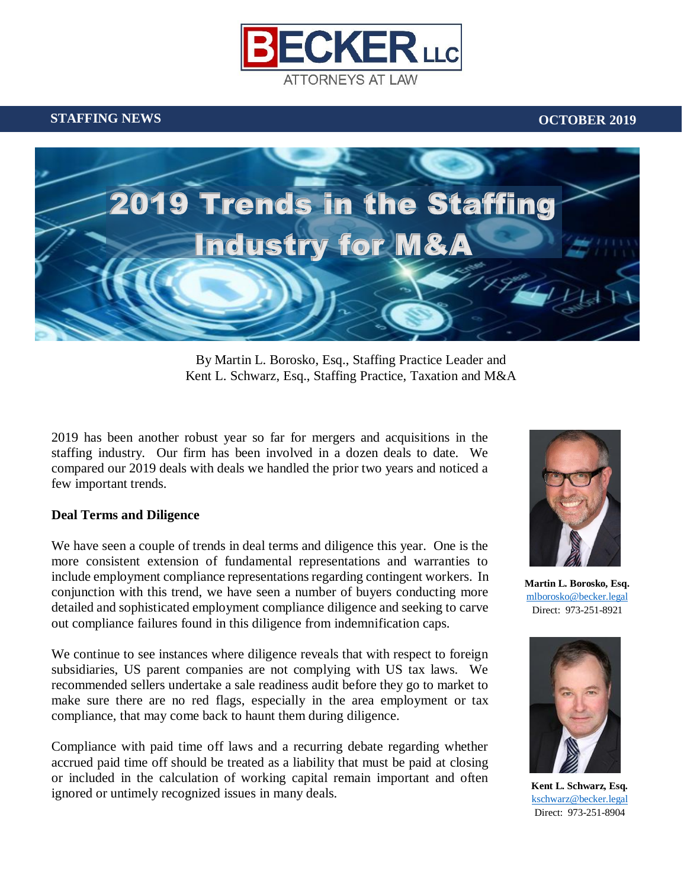

# **STAFFING NEWS OCTOBER 2019**



By Martin L. Borosko, Esq., Staffing Practice Leader and Kent L. Schwarz, Esq., Staffing Practice, Taxation and M&A

2019 has been another robust year so far for mergers and acquisitions in the staffing industry. Our firm has been involved in a dozen deals to date. We compared our 2019 deals with deals we handled the prior two years and noticed a few important trends.

# **Deal Terms and Diligence**

We have seen a couple of trends in deal terms and diligence this year. One is the more consistent extension of fundamental representations and warranties to include employment compliance representations regarding contingent workers. In conjunction with this trend, we have seen a number of buyers conducting more detailed and sophisticated employment compliance diligence and seeking to carve out compliance failures found in this diligence from indemnification caps.

We continue to see instances where diligence reveals that with respect to foreign subsidiaries, US parent companies are not complying with US tax laws. We recommended sellers undertake a sale readiness audit before they go to market to make sure there are no red flags, especially in the area employment or tax compliance, that may come back to haunt them during diligence.

Compliance with paid time off laws and a recurring debate regarding whether accrued paid time off should be treated as a liability that must be paid at closing or included in the calculation of working capital remain important and often ignored or untimely recognized issues in many deals.



**Martin L. Borosko, Esq.**  [mlborosko@becker.legal](mailto:mlborosko@becker.legal) Direct: 973-251-8921



[kschwarz@becker.legal](mailto:kschwarz@becker.legal) Direct: 973-251-8904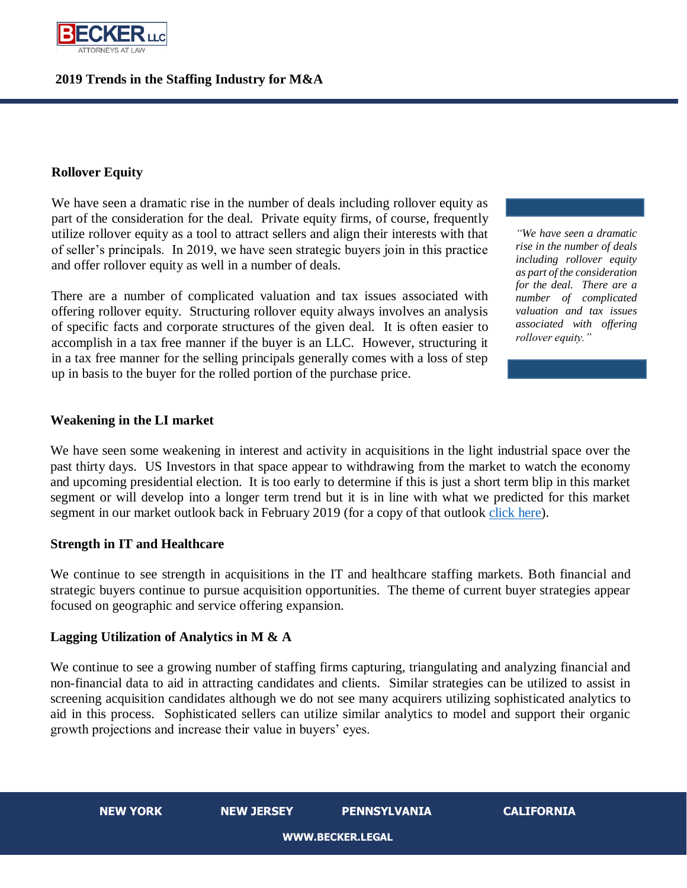

## **2019 Trends in the Staffing Industry for M&A**

## **Rollover Equity**

We have seen a dramatic rise in the number of deals including rollover equity as part of the consideration for the deal. Private equity firms, of course, frequently utilize rollover equity as a tool to attract sellers and align their interests with that of seller's principals. In 2019, we have seen strategic buyers join in this practice and offer rollover equity as well in a number of deals.

There are a number of complicated valuation and tax issues associated with offering rollover equity. Structuring rollover equity always involves an analysis of specific facts and corporate structures of the given deal. It is often easier to accomplish in a tax free manner if the buyer is an LLC. However, structuring it in a tax free manner for the selling principals generally comes with a loss of step up in basis to the buyer for the rolled portion of the purchase price.

*"We have seen a dramatic rise in the number of deals including rollover equity as part of the consideration for the deal. There are a number of complicated valuation and tax issues associated with offering rollover equity."* 

#### **Weakening in the LI market**

We have seen some weakening in interest and activity in acquisitions in the light industrial space over the past thirty days. US Investors in that space appear to withdrawing from the market to watch the economy and upcoming presidential election. It is too early to determine if this is just a short term blip in this market segment or will develop into a longer term trend but it is in line with what we predicted for this market segment in our market outlook back in February 2019 (for a copy of that outlook [click here\)](https://docs.wixstatic.com/ugd/30b09f_347fbbb9dfd74f7ebc59df5d57577d3a.pdf).

#### **Strength in IT and Healthcare**

We continue to see strength in acquisitions in the IT and healthcare staffing markets. Both financial and strategic buyers continue to pursue acquisition opportunities. The theme of current buyer strategies appear focused on geographic and service offering expansion.

#### **Lagging Utilization of Analytics in M & A**

We continue to see a growing number of staffing firms capturing, triangulating and analyzing financial and non-financial data to aid in attracting candidates and clients. Similar strategies can be utilized to assist in screening acquisition candidates although we do not see many acquirers utilizing sophisticated analytics to aid in this process. Sophisticated sellers can utilize similar analytics to model and support their organic growth projections and increase their value in buyers' eyes.

**NEW YORK NEW JERSEY PENNSYLVANIA CALIFORNIA**